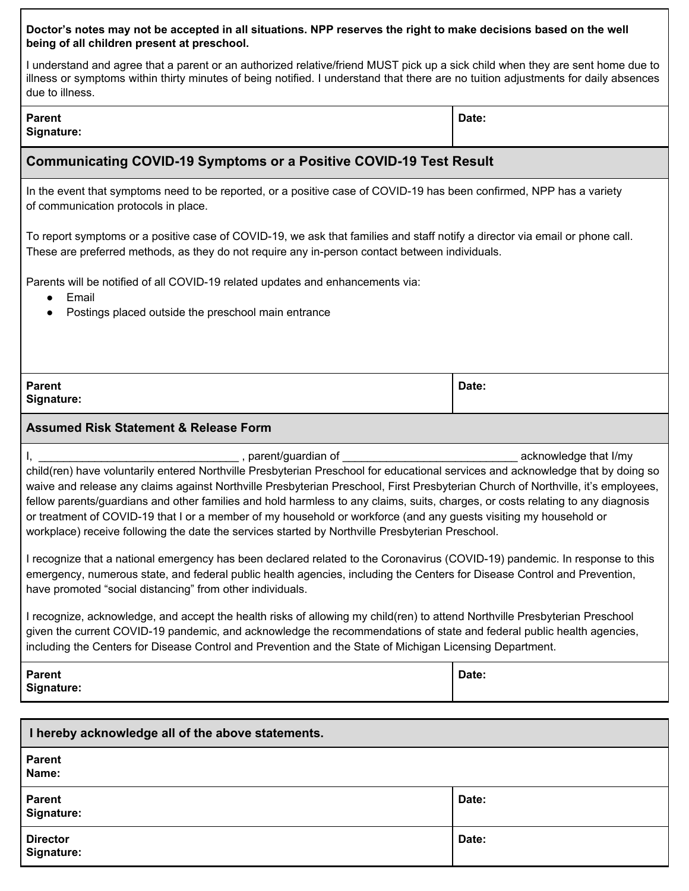| Doctor's notes may not be accepted in all situations. NPP reserves the right to make decisions based on the well<br>being of all children present at preschool.                                                                                                                                                                                                                                                                                                                                                                                                                                                                                                                                                                                                                                                                                                                                                                                                                                                                                                                                                                                                                                                                                                                                                             |       |
|-----------------------------------------------------------------------------------------------------------------------------------------------------------------------------------------------------------------------------------------------------------------------------------------------------------------------------------------------------------------------------------------------------------------------------------------------------------------------------------------------------------------------------------------------------------------------------------------------------------------------------------------------------------------------------------------------------------------------------------------------------------------------------------------------------------------------------------------------------------------------------------------------------------------------------------------------------------------------------------------------------------------------------------------------------------------------------------------------------------------------------------------------------------------------------------------------------------------------------------------------------------------------------------------------------------------------------|-------|
| I understand and agree that a parent or an authorized relative/friend MUST pick up a sick child when they are sent home due to<br>illness or symptoms within thirty minutes of being notified. I understand that there are no tuition adjustments for daily<br>absences due to illness.                                                                                                                                                                                                                                                                                                                                                                                                                                                                                                                                                                                                                                                                                                                                                                                                                                                                                                                                                                                                                                     |       |
| <b>Parent</b><br>Signature:                                                                                                                                                                                                                                                                                                                                                                                                                                                                                                                                                                                                                                                                                                                                                                                                                                                                                                                                                                                                                                                                                                                                                                                                                                                                                                 | Date: |
| <b>Communicating COVID-19 Symptoms or a Positive COVID-19 Test Result</b>                                                                                                                                                                                                                                                                                                                                                                                                                                                                                                                                                                                                                                                                                                                                                                                                                                                                                                                                                                                                                                                                                                                                                                                                                                                   |       |
| In the event that symptoms need to be reported, or a positive case of COVID-19 has been confirmed, NPP has a variety<br>of communication protocols in place.                                                                                                                                                                                                                                                                                                                                                                                                                                                                                                                                                                                                                                                                                                                                                                                                                                                                                                                                                                                                                                                                                                                                                                |       |
| To report symptoms or a positive case of COVID-19, we ask that families and staff notify the director via email or phone<br>call. These are preferred methods, as they do not require any in-person contact between individuals.                                                                                                                                                                                                                                                                                                                                                                                                                                                                                                                                                                                                                                                                                                                                                                                                                                                                                                                                                                                                                                                                                            |       |
| Parents will be notified of all COVID-19 related updates and enhancements via:<br>Email<br>$\bullet$                                                                                                                                                                                                                                                                                                                                                                                                                                                                                                                                                                                                                                                                                                                                                                                                                                                                                                                                                                                                                                                                                                                                                                                                                        |       |
| Postings placed outside the preschool main entrance                                                                                                                                                                                                                                                                                                                                                                                                                                                                                                                                                                                                                                                                                                                                                                                                                                                                                                                                                                                                                                                                                                                                                                                                                                                                         |       |
|                                                                                                                                                                                                                                                                                                                                                                                                                                                                                                                                                                                                                                                                                                                                                                                                                                                                                                                                                                                                                                                                                                                                                                                                                                                                                                                             |       |
| <b>Parent</b><br>Signature:                                                                                                                                                                                                                                                                                                                                                                                                                                                                                                                                                                                                                                                                                                                                                                                                                                                                                                                                                                                                                                                                                                                                                                                                                                                                                                 | Date: |
| <b>Assumed Risk Statement &amp; Release Form</b>                                                                                                                                                                                                                                                                                                                                                                                                                                                                                                                                                                                                                                                                                                                                                                                                                                                                                                                                                                                                                                                                                                                                                                                                                                                                            |       |
| child(ren) have voluntarily entered Northville Presbyterian Preschool for educational services and acknowledge that by doing so<br>waive and release any claims against Northville Presbyterian Preschool, First Presbyterian Church of Northville, it's employees,<br>fellow parents/guardians and other families and hold harmless to any claims, suits, charges, or costs relating to any diagnosis<br>or treatment of COVID-19 that I or a member of my household or workforce (and any quests visiting my household or<br>workplace) receive following the date the services started by Northville Presbyterian Preschool.<br>I recognize that a national emergency has been declared related to the Coronavirus (COVID-19) pandemic. In response to this<br>emergency, numerous state, and federal public health agencies, including the Centers for Disease Control and Prevention,<br>have promoted "social distancing" from other individuals.<br>I recognize, acknowledge, and accept the health risks of allowing my child(ren) to attend Northville Presbyterian Preschool<br>given the current COVID-19 pandemic, and acknowledge the recommendations of state and federal public health agencies,<br>including the Centers for Disease Control and Prevention and the State of Michigan Licensing Department. |       |
| <b>Parent</b><br>Signature:                                                                                                                                                                                                                                                                                                                                                                                                                                                                                                                                                                                                                                                                                                                                                                                                                                                                                                                                                                                                                                                                                                                                                                                                                                                                                                 | Date: |
| I hereby acknowledge all of the above statements.                                                                                                                                                                                                                                                                                                                                                                                                                                                                                                                                                                                                                                                                                                                                                                                                                                                                                                                                                                                                                                                                                                                                                                                                                                                                           |       |
| <b>Parent</b><br>Name:                                                                                                                                                                                                                                                                                                                                                                                                                                                                                                                                                                                                                                                                                                                                                                                                                                                                                                                                                                                                                                                                                                                                                                                                                                                                                                      |       |
| <b>Parent</b><br>Signature:                                                                                                                                                                                                                                                                                                                                                                                                                                                                                                                                                                                                                                                                                                                                                                                                                                                                                                                                                                                                                                                                                                                                                                                                                                                                                                 | Date: |
| <b>Director</b><br>Signature:                                                                                                                                                                                                                                                                                                                                                                                                                                                                                                                                                                                                                                                                                                                                                                                                                                                                                                                                                                                                                                                                                                                                                                                                                                                                                               | Date: |